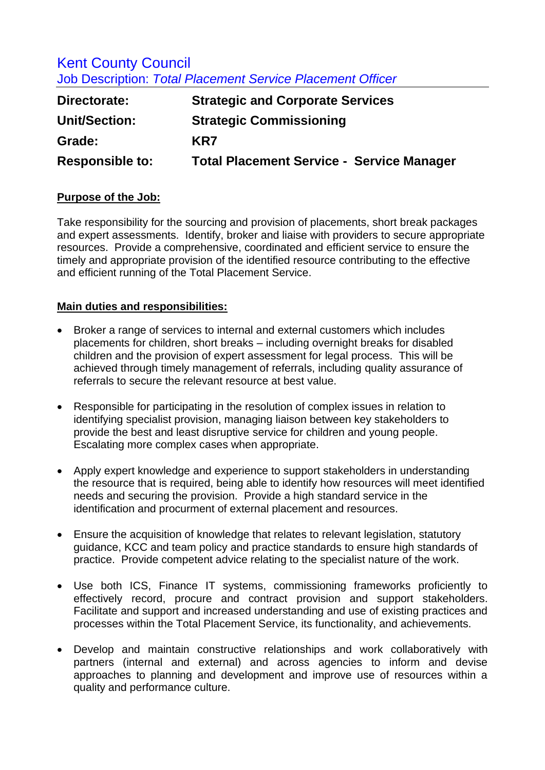## Kent County Council Job Description: *Total Placement Service Placement Officer*

| Directorate:           | <b>Strategic and Corporate Services</b>          |
|------------------------|--------------------------------------------------|
| <b>Unit/Section:</b>   | <b>Strategic Commissioning</b>                   |
| Grade:                 | KR7                                              |
| <b>Responsible to:</b> | <b>Total Placement Service - Service Manager</b> |

## **Purpose of the Job:**

Take responsibility for the sourcing and provision of placements, short break packages and expert assessments. Identify, broker and liaise with providers to secure appropriate resources. Provide a comprehensive, coordinated and efficient service to ensure the timely and appropriate provision of the identified resource contributing to the effective and efficient running of the Total Placement Service.

## **Main duties and responsibilities:**

- Broker a range of services to internal and external customers which includes placements for children, short breaks – including overnight breaks for disabled children and the provision of expert assessment for legal process. This will be achieved through timely management of referrals, including quality assurance of referrals to secure the relevant resource at best value.
- Responsible for participating in the resolution of complex issues in relation to identifying specialist provision, managing liaison between key stakeholders to provide the best and least disruptive service for children and young people. Escalating more complex cases when appropriate.
- Apply expert knowledge and experience to support stakeholders in understanding the resource that is required, being able to identify how resources will meet identified needs and securing the provision. Provide a high standard service in the identification and procurment of external placement and resources.
- Ensure the acquisition of knowledge that relates to relevant legislation, statutory guidance, KCC and team policy and practice standards to ensure high standards of practice. Provide competent advice relating to the specialist nature of the work.
- Use both ICS, Finance IT systems, commissioning frameworks proficiently to effectively record, procure and contract provision and support stakeholders. Facilitate and support and increased understanding and use of existing practices and processes within the Total Placement Service, its functionality, and achievements.
- Develop and maintain constructive relationships and work collaboratively with partners (internal and external) and across agencies to inform and devise approaches to planning and development and improve use of resources within a quality and performance culture.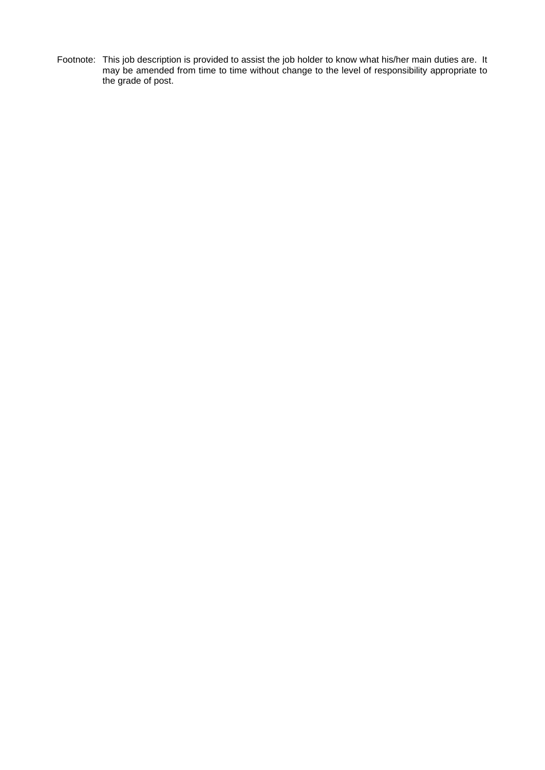Footnote: This job description is provided to assist the job holder to know what his/her main duties are. It may be amended from time to time without change to the level of responsibility appropriate to the grade of post.